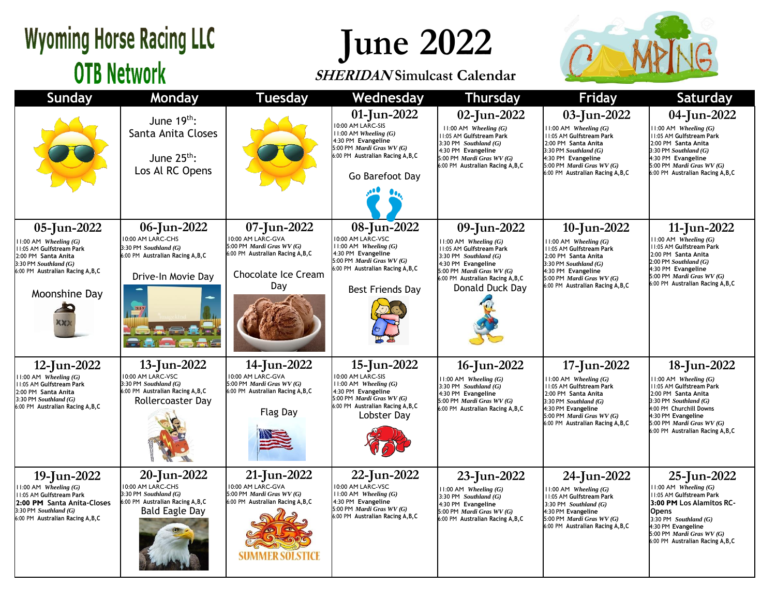## **Wyoming Horse Racing LLC OTB Network**

## **June 2022**

### **SHERIDAN Simulcast Calendar**



| <b>Sunday</b>                                                                                                                                                              | Monday                                                                                                                      | <b>Tuesday</b>                                                                                                                   | Wednesday                                                                                                                                                                     | <b>Thursday</b>                                                                                                                                                                                            | <b>Friday</b>                                                                                                                                                                                                    | Saturday                                                                                                                                                                                                                                |
|----------------------------------------------------------------------------------------------------------------------------------------------------------------------------|-----------------------------------------------------------------------------------------------------------------------------|----------------------------------------------------------------------------------------------------------------------------------|-------------------------------------------------------------------------------------------------------------------------------------------------------------------------------|------------------------------------------------------------------------------------------------------------------------------------------------------------------------------------------------------------|------------------------------------------------------------------------------------------------------------------------------------------------------------------------------------------------------------------|-----------------------------------------------------------------------------------------------------------------------------------------------------------------------------------------------------------------------------------------|
|                                                                                                                                                                            | June $19th$ :<br>Santa Anita Closes<br>June $25^{th}$ :<br>Los Al RC Opens                                                  |                                                                                                                                  | 01-Jun-2022<br>10:00 AM LARC-SIS<br>$11:00$ AM Wheeling $(G)$<br>4:30 PM Evangeline<br>5:00 PM Mardi Gras WV (G)<br>6:00 PM Australian Racing A, B, C<br>Go Barefoot Day      | 02-Jun-2022<br>$11:00$ AM Wheeling $(G)$<br>11:05 AM Gulfstream Park<br>3:30 PM Southland $(G)$<br>4:30 PM Evangeline<br>5:00 PM Mardi Gras WV (G)<br>6:00 PM Australian Racing A, B, C                    | 03-Jun-2022<br>$11:00$ AM Wheeling $(G)$<br>11:05 AM Gulfstream Park<br>2:00 PM Santa Anita<br>3:30 PM Southland (G)<br>4:30 PM Evangeline<br>5:00 PM Mardi Gras WV (G)<br>6:00 PM Australian Racing A, B, C     | 04-Jun-2022<br>$11:00$ AM Wheeling $(G)$<br>11:05 AM Gulfstream Park<br>2:00 PM Santa Anita<br>3:30 PM Southland $(G)$<br>4:30 PM Evangeline<br>5:00 PM <i>Mardi Gras WV</i> $(G)$<br>6:00 PM Australian Racing A, B, C                 |
| 05-Jun-2022<br>$1:00$ AM Wheeling $(G)$<br>1:05 AM Gulfstream Park<br>2:00 PM Santa Anita<br>$3:30$ PM Southland $(G)$<br>6:00 PM Australian Racing A,B,C<br>Moonshine Day | 06-Jun-2022<br>10:00 AM LARC-CHS<br>$3:30$ PM Southland $(G)$<br>6:00 PM Australian Racing A, B, C<br>Drive-In Movie Day    | 07-Jun-2022<br>10:00 AM LARC-GVA<br>5:00 PM Mardi Gras WV (G)<br>6:00 PM Australian Racing A, B, C<br>Chocolate Ice Cream<br>Day | 08-Jun-2022<br>10:00 AM LARC-VSC<br>$11:00$ AM Wheeling $(G)$<br>4:30 PM Evangeline<br>5:00 PM Mardi Gras WV (G)<br>6:00 PM Australian Racing A, B, C<br>Best Friends Day     | 09-Jun-2022<br>$11:00$ AM Wheeling $(G)$<br>11:05 AM Gulfstream Park<br>3:30 PM Southland $(G)$<br>4:30 PM Evangeline<br>5:00 PM Mardi Gras WV (G)<br>6:00 PM Australian Racing A, B, C<br>Donald Duck Day | 10-Jun-2022<br>$11:00$ AM Wheeling $(G)$<br>11:05 AM Gulfstream Park<br>2:00 PM Santa Anita<br>$3:30$ PM Southland $(G)$<br>4:30 PM Evangeline<br>5:00 PM Mardi Gras WV (G)<br>6:00 PM Australian Racing A, B, C | 11-Jun-2022<br>$11:00$ AM Wheeling $(G)$<br>11:05 AM Gulfstream Park<br>2:00 PM Santa Anita<br>$2:00$ PM Southland $(G)$<br>4:30 PM Evangeline<br>5:00 PM Mardi Gras WV (G)<br>6:00 PM Australian Racing A, B, C                        |
| 12-Jun-2022<br>$1:00$ AM Wheeling $(G)$<br>1:05 AM Gulfstream Park<br>2:00 PM Santa Anita<br>3:30 PM Southland (G)<br>6:00 PM Australian Racing A, B, C                    | 13-Jun-2022<br>10:00 AM LARC-VSC<br>3:30 PM Southland (G)<br>6:00 PM Australian Racing A, B, C<br>Rollercoaster Day         | 14-Jun-2022<br>10:00 AM LARC-GVA<br>5:00 PM Mardi Gras WV (G)<br>6:00 PM Australian Racing A, B, C<br><b>Flag Day</b>            | 15-Jun-2022<br>10:00 AM LARC-SIS<br>$11:00$ AM Wheeling $(G)$<br>4:30 PM Evangeline<br>5:00 PM <i>Mardi Gras WV</i> $(G)$<br>6:00 PM Australian Racing A, B, C<br>Lobster Dav | 16-Jun-2022<br>$11:00$ AM Wheeling $(G)$<br>3:30 PM Southland $(G)$<br>4:30 PM Evangeline<br>5:00 PM Mardi Gras WV (G)<br>6:00 PM Australian Racing A, B, C                                                | 17-Jun-2022<br>$1:00$ AM Wheeling $(G)$<br>11:05 AM Gulfstream Park<br>2:00 PM Santa Anita<br>$3:30$ PM Southland $(G)$<br>4:30 PM Evangeline<br>5:00 PM Mardi Gras WV (G)<br>6:00 PM Australian Racing A, B, C  | 18-Jun-2022<br>$11:00$ AM Wheeling $(G)$<br>11:05 AM Gulfstream Park<br>2:00 PM Santa Anita<br>3:30 PM Southland (G)<br>4:00 PM Churchill Downs<br>4:30 PM Evangeline<br>5:00 PM Mardi Gras WV (G)<br>6:00 PM Australian Racing A, B, C |
| 19-Jun-2022<br>1:00 AM Wheeling $(G)$<br>1:05 AM Gulfstream Park<br>2:00 PM Santa Anita-Closes<br>$3:30$ PM Southland $(G)$<br>6:00 PM Australian Racing A,B,C             | 20-Jun-2022<br>10:00 AM LARC-CHS<br>$3:30$ PM Southland $(G)$<br>6:00 PM Australian Racing A, B, C<br><b>Bald Eagle Day</b> | 21-Jun-2022<br>10:00 AM LARC-GVA<br>5:00 PM Mardi Gras WV (G)<br>6:00 PM Australian Racing A, B, C<br>SUMMER SOLSTICE            | 22-Jun-2022<br>10:00 AM LARC-VSC<br>11:00 AM Wheeling $(G)$<br>4:30 PM Evangeline<br>5:00 PM Mardi Gras WV (G)<br>6:00 PM Australian Racing A, B, C                           | 23-Jun-2022<br>$11:00$ AM Wheeling $(G)$<br>3:30 PM Southland $(G)$<br>4:30 PM Evangeline<br>5:00 PM Mardi Gras WV (G)<br>6:00 PM Australian Racing A, B, C                                                | 24-Jun-2022<br>$11:00$ AM Wheeling $(G)$<br>11:05 AM Gulfstream Park<br>3:30 PM Southland $(G)$<br>4:30 PM Evangeline<br>5:00 PM Mardi Gras WV (G)<br>6:00 PM Australian Racing A, B, C                          | 25-Jun-2022<br>$11:00$ AM Wheeling $(G)$<br>11:05 AM Gulfstream Park<br>3:00 PM Los Alamitos RC-<br><b>Opens</b><br>3:30 PM Southland $(G)$<br>4:30 PM Evangeline<br>5:00 PM Mardi Gras WV (G)<br>6:00 PM Australian Racing A, B, C     |